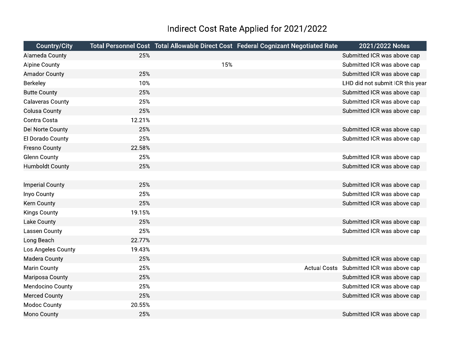## Indirect Cost Rate Applied for 2021/2022

| <b>Country/City</b>     |        |     | Total Personnel Cost Total Allowable Direct Cost Federal Cognizant Negotiated Rate | 2021/2022 Notes                          |
|-------------------------|--------|-----|------------------------------------------------------------------------------------|------------------------------------------|
| Alameda County          | 25%    |     |                                                                                    | Submitted ICR was above cap              |
| <b>Alpine County</b>    |        | 15% |                                                                                    | Submitted ICR was above cap              |
| <b>Amador County</b>    | 25%    |     |                                                                                    | Submitted ICR was above cap              |
| Berkeley                | 10%    |     |                                                                                    | LHD did not submit ICR this year         |
| <b>Butte County</b>     | 25%    |     |                                                                                    | Submitted ICR was above cap              |
| <b>Calaveras County</b> | 25%    |     |                                                                                    | Submitted ICR was above cap              |
| <b>Colusa County</b>    | 25%    |     |                                                                                    | Submitted ICR was above cap              |
| Contra Costa            | 12.21% |     |                                                                                    |                                          |
| Del Norte County        | 25%    |     |                                                                                    | Submitted ICR was above cap              |
| El Dorado County        | 25%    |     |                                                                                    | Submitted ICR was above cap              |
| <b>Fresno County</b>    | 22.58% |     |                                                                                    |                                          |
| <b>Glenn County</b>     | 25%    |     |                                                                                    | Submitted ICR was above cap              |
| <b>Humboldt County</b>  | 25%    |     |                                                                                    | Submitted ICR was above cap              |
|                         |        |     |                                                                                    |                                          |
| <b>Imperial County</b>  | 25%    |     |                                                                                    | Submitted ICR was above cap              |
| Inyo County             | 25%    |     |                                                                                    | Submitted ICR was above cap              |
| Kern County             | 25%    |     |                                                                                    | Submitted ICR was above cap              |
| <b>Kings County</b>     | 19.15% |     |                                                                                    |                                          |
| <b>Lake County</b>      | 25%    |     |                                                                                    | Submitted ICR was above cap              |
| Lassen County           | 25%    |     |                                                                                    | Submitted ICR was above cap              |
| Long Beach              | 22.77% |     |                                                                                    |                                          |
| Los Angeles County      | 19.43% |     |                                                                                    |                                          |
| Madera County           | 25%    |     |                                                                                    | Submitted ICR was above cap              |
| <b>Marin County</b>     | 25%    |     |                                                                                    | Actual Costs Submitted ICR was above cap |
| Mariposa County         | 25%    |     |                                                                                    | Submitted ICR was above cap              |
| Mendocino County        | 25%    |     |                                                                                    | Submitted ICR was above cap              |
| <b>Merced County</b>    | 25%    |     |                                                                                    | Submitted ICR was above cap              |
| <b>Modoc County</b>     | 20.55% |     |                                                                                    |                                          |
| <b>Mono County</b>      | 25%    |     |                                                                                    | Submitted ICR was above cap              |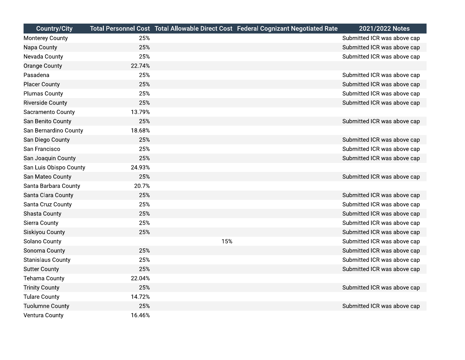| <b>Country/City</b>      |        |     | Total Personnel Cost Total Allowable Direct Cost Federal Cognizant Negotiated Rate | 2021/2022 Notes             |
|--------------------------|--------|-----|------------------------------------------------------------------------------------|-----------------------------|
| Monterey County          | 25%    |     |                                                                                    | Submitted ICR was above cap |
| Napa County              | 25%    |     |                                                                                    | Submitted ICR was above cap |
| Nevada County            | 25%    |     |                                                                                    | Submitted ICR was above cap |
| <b>Orange County</b>     | 22.74% |     |                                                                                    |                             |
| Pasadena                 | 25%    |     |                                                                                    | Submitted ICR was above cap |
| <b>Placer County</b>     | 25%    |     |                                                                                    | Submitted ICR was above cap |
| <b>Plumas County</b>     | 25%    |     |                                                                                    | Submitted ICR was above cap |
| <b>Riverside County</b>  | 25%    |     |                                                                                    | Submitted ICR was above cap |
| Sacramento County        | 13.79% |     |                                                                                    |                             |
| San Benito County        | 25%    |     |                                                                                    | Submitted ICR was above cap |
| San Bernardino County    | 18.68% |     |                                                                                    |                             |
| San Diego County         | 25%    |     |                                                                                    | Submitted ICR was above cap |
| San Francisco            | 25%    |     |                                                                                    | Submitted ICR was above cap |
| San Joaquin County       | 25%    |     |                                                                                    | Submitted ICR was above cap |
| San Luis Obispo County   | 24.93% |     |                                                                                    |                             |
| San Mateo County         | 25%    |     |                                                                                    | Submitted ICR was above cap |
| Santa Barbara County     | 20.7%  |     |                                                                                    |                             |
| Santa Clara County       | 25%    |     |                                                                                    | Submitted ICR was above cap |
| Santa Cruz County        | 25%    |     |                                                                                    | Submitted ICR was above cap |
| Shasta County            | 25%    |     |                                                                                    | Submitted ICR was above cap |
| <b>Sierra County</b>     | 25%    |     |                                                                                    | Submitted ICR was above cap |
| Siskiyou County          | 25%    |     |                                                                                    | Submitted ICR was above cap |
| Solano County            |        | 15% |                                                                                    | Submitted ICR was above cap |
| Sonoma County            | 25%    |     |                                                                                    | Submitted ICR was above cap |
| <b>Stanislaus County</b> | 25%    |     |                                                                                    | Submitted ICR was above cap |
| <b>Sutter County</b>     | 25%    |     |                                                                                    | Submitted ICR was above cap |
| <b>Tehama County</b>     | 22.04% |     |                                                                                    |                             |
| <b>Trinity County</b>    | 25%    |     |                                                                                    | Submitted ICR was above cap |
| <b>Tulare County</b>     | 14.72% |     |                                                                                    |                             |
| <b>Tuolumne County</b>   | 25%    |     |                                                                                    | Submitted ICR was above cap |
| Ventura County           | 16.46% |     |                                                                                    |                             |